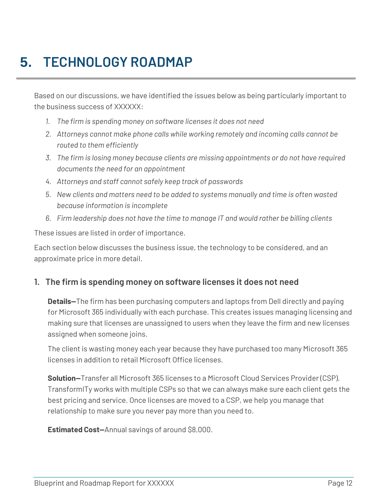# **5. TECHNOLOGY ROADMAP**

Based on our discussions, we have identified the issues below as being particularly important to the business success of XXXXXX:

- *1. The firm is spending money on software licenses it does not need*
- *2. Attorneys cannot make phone calls while working remotely and incoming calls cannot be routed to them efficiently*
- *3. The firm is losing money because clients are missing appointments or do not have required documents the need for an appointment*
- *4. Attorneys and staff cannot safely keep track of passwords*
- *5. New clients and matters need to be added to systems manually and time is often wasted because information is incomplete*
- *6. Firm leadership does not have the time to manage IT and would rather be billing clients*

These issues are listed in order of importance.

Each section below discusses the business issue, the technology to be considered, and an approximate price in more detail.

#### **1. The firm is spending money on software licenses it does not need**

**Details—**The firm has been purchasing computers and laptops from Dell directly and paying for Microsoft 365 individually with each purchase. This creates issues managing licensing and making sure that licenses are unassigned to users when they leave the firm and new licenses assigned when someone joins.

The client is wasting money each year because they have purchased too many Microsoft 365 licenses in addition to retail Microsoft Office licenses.

**Solution—**Transfer all Microsoft 365 licenses to a Microsoft Cloud Services Provider (CSP). TransformITy works with multiple CSPs so that we can always make sure each client gets the best pricing and service. Once licenses are moved to a CSP, we help you manage that relationship to make sure you never pay more than you need to.

**Estimated Cost—**Annual savings of around \$8,000.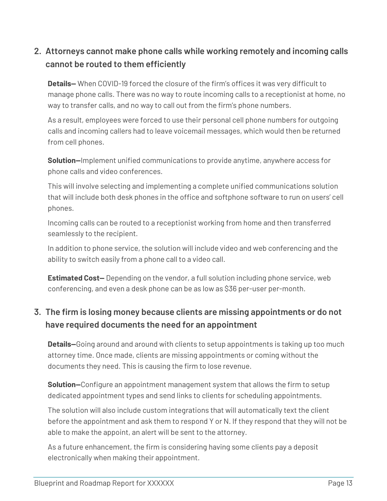### **2. Attorneys cannot make phone calls while working remotely and incoming calls cannot be routed to them efficiently**

**Details—** When COVID-19 forced the closure of the firm's offices it was very difficult to manage phone calls. There was no way to route incoming calls to a receptionist at home, no way to transfer calls, and no way to call out from the firm's phone numbers.

As a result, employees were forced to use their personal cell phone numbers for outgoing calls and incoming callers had to leave voicemail messages, which would then be returned from cell phones.

**Solution—**Implement unified communications to provide anytime, anywhere access for phone calls and video conferences.

This will involve selecting and implementing a complete unified communications solution that will include both desk phones in the office and softphone software to run on users' cell phones.

Incoming calls can be routed to a receptionist working from home and then transferred seamlessly to the recipient.

In addition to phone service, the solution will include video and web conferencing and the ability to switch easily from a phone call to a video call.

**Estimated Cost—** Depending on the vendor, a full solution including phone service, web conferencing, and even a desk phone can be as low as \$36 per-user per-month.

### **3. The firm is losing money because clients are missing appointments or do not have required documents the need for an appointment**

**Details—**Going around and around with clients to setup appointments is taking up too much attorney time. Once made, clients are missing appointments or coming without the documents they need. This is causing the firm to lose revenue.

**Solution—**Configure an appointment management system that allows the firm to setup dedicated appointment types and send links to clients for scheduling appointments.

The solution will also include custom integrations that will automatically text the client before the appointment and ask them to respond Y or N. If they respond that they will not be able to make the appoint, an alert will be sent to the attorney.

As a future enhancement, the firm is considering having some clients pay a deposit electronically when making their appointment.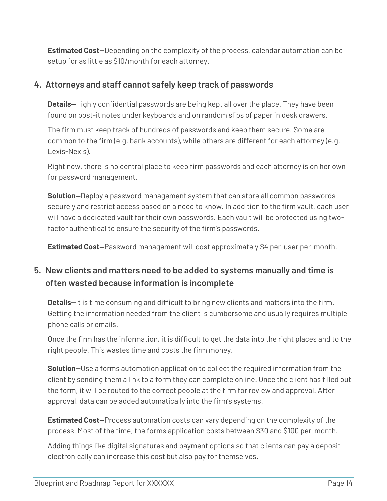**Estimated Cost—**Depending on the complexity of the process, calendar automation can be setup for as little as \$10/month for each attorney.

#### **4. Attorneys and staff cannot safely keep track of passwords**

**Details—**Highly confidential passwords are being kept all over the place. They have been found on post-it notes under keyboards and on random slips of paper in desk drawers.

The firm must keep track of hundreds of passwords and keep them secure. Some are common to the firm (e.g. bank accounts), while others are different for each attorney (e.g. Lexis-Nexis).

Right now, there is no central place to keep firm passwords and each attorney is on her own for password management.

**Solution—**Deploy a password management system that can store all common passwords securely and restrict access based on a need to know. In addition to the firm vault, each user will have a dedicated vault for their own passwords. Each vault will be protected using twofactor authentical to ensure the security of the firm's passwords.

**Estimated Cost—**Password management will cost approximately \$4 per-user per-month.

## **5. New clients and matters need to be added to systems manually and time is often wasted because information is incomplete**

**Details—**It is time consuming and difficult to bring new clients and matters into the firm. Getting the information needed from the client is cumbersome and usually requires multiple phone calls or emails.

Once the firm has the information, it is difficult to get the data into the right places and to the right people. This wastes time and costs the firm money.

**Solution—**Use a forms automation application to collect the required information from the client by sending them a link to a form they can complete online. Once the client has filled out the form, it will be routed to the correct people at the firm for review and approval. After approval, data can be added automatically into the firm's systems.

**Estimated Cost—**Process automation costs can vary depending on the complexity of the process. Most of the time, the forms application costs between \$30 and \$100 per-month.

Adding things like digital signatures and payment options so that clients can pay a deposit electronically can increase this cost but also pay for themselves.